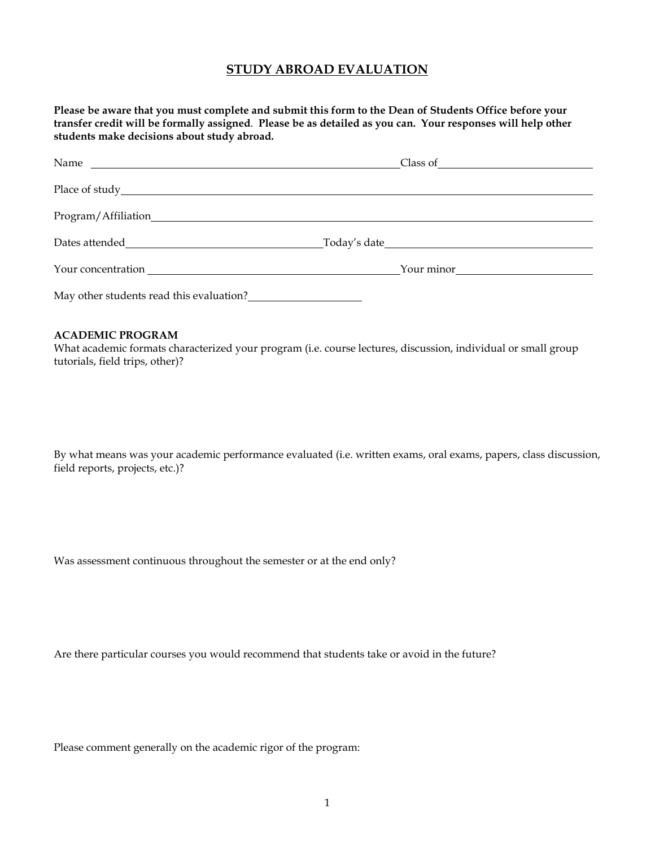# **STUDY ABROAD EVALUATION**

**Please be aware that you must complete and submit this form to the Dean of Students Office before your transfer credit will be formally assigned**. **Please be as detailed as you can. Your responses will help other students make decisions about study abroad.**

| Your concentration Sales Contract of the Contract of the Contract of the Contract of the Contract of the Contract of the Contract of the Contract of the Contract of the Contract of the Contract of the Contract of the Contr | Your minor |
|--------------------------------------------------------------------------------------------------------------------------------------------------------------------------------------------------------------------------------|------------|
| May other students read this evaluation?                                                                                                                                                                                       |            |

# **ACADEMIC PROGRAM**

What academic formats characterized your program (i.e. course lectures, discussion, individual or small group tutorials, field trips, other)?

By what means was your academic performance evaluated (i.e. written exams, oral exams, papers, class discussion, field reports, projects, etc.)?

Was assessment continuous throughout the semester or at the end only?

Are there particular courses you would recommend that students take or avoid in the future?

Please comment generally on the academic rigor of the program: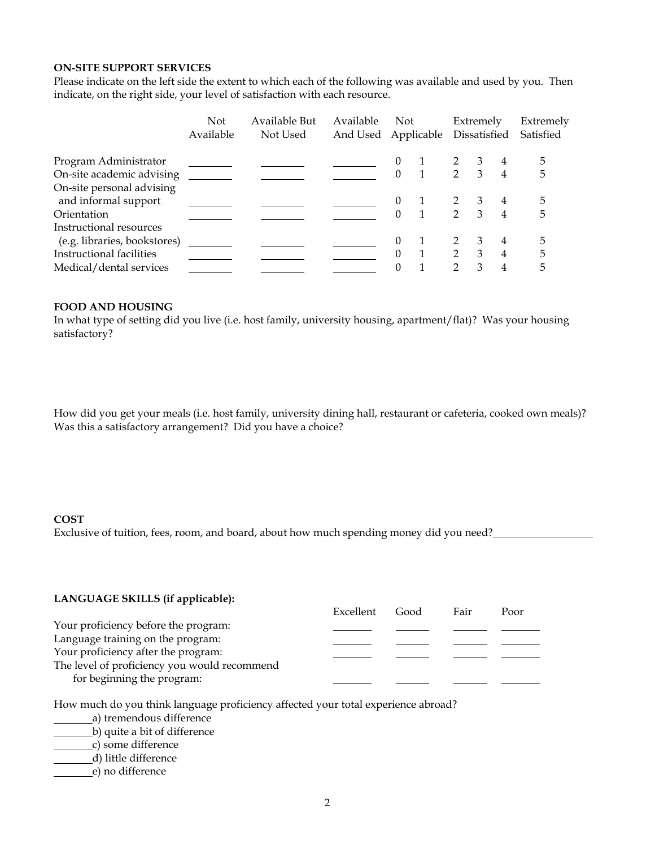#### **ON-SITE SUPPORT SERVICES**

Please indicate on the left side the extent to which each of the following was available and used by you. Then indicate, on the right side, your level of satisfaction with each resource.

|                                                   | <b>Not</b><br>Available | Available But<br>Not Used | Available<br>And Used Applicable | Not      |               | Extremely<br>Dissatisfied |                | Extremely<br>Satisfied |
|---------------------------------------------------|-------------------------|---------------------------|----------------------------------|----------|---------------|---------------------------|----------------|------------------------|
| Program Administrator                             |                         |                           |                                  | $\theta$ |               | 3                         | 4              | 5                      |
| On-site academic advising                         |                         |                           |                                  | $\Omega$ | $\mathcal{P}$ | 3                         | 4              | 5                      |
| On-site personal advising<br>and informal support |                         |                           |                                  | $\theta$ |               | 3                         | 4              | 5                      |
| Orientation                                       |                         |                           |                                  | $\Omega$ | 2             | 3                         | $\overline{4}$ | 5                      |
| Instructional resources                           |                         |                           |                                  |          |               |                           |                |                        |
| (e.g. libraries, bookstores)                      |                         |                           |                                  | $\Omega$ |               | 3                         | 4              | 5                      |
| Instructional facilities                          |                         |                           |                                  | $\Omega$ | $\mathcal{D}$ | 3                         | 4              | 5                      |
| Medical/dental services                           |                         |                           |                                  | $\Omega$ | $\mathcal{D}$ | 3                         | 4              | 5                      |

## **FOOD AND HOUSING**

In what type of setting did you live (i.e. host family, university housing, apartment/flat)? Was your housing satisfactory?

How did you get your meals (i.e. host family, university dining hall, restaurant or cafeteria, cooked own meals)? Was this a satisfactory arrangement? Did you have a choice?

#### **COST**

Exclusive of tuition, fees, room, and board, about how much spending money did you need?

| LANGUAGE SKILLS (if applicable): |  |
|----------------------------------|--|
|                                  |  |

|                                              | Excellent | Good | Fair | Poor |
|----------------------------------------------|-----------|------|------|------|
| Your proficiency before the program:         |           |      |      |      |
| Language training on the program:            |           |      |      |      |
| Your proficiency after the program:          |           |      |      |      |
| The level of proficiency you would recommend |           |      |      |      |
| for beginning the program:                   |           |      |      |      |

How much do you think language proficiency affected your total experience abroad?

- **a**) tremendous difference
- b) quite a bit of difference
- c) some difference
- d) little difference
- e) no difference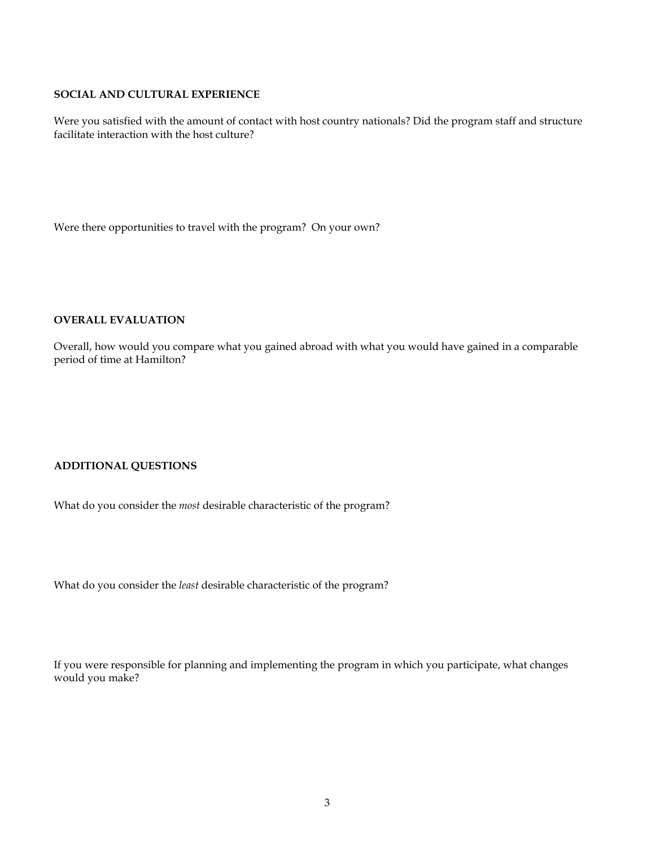## **SOCIAL AND CULTURAL EXPERIENCE**

Were you satisfied with the amount of contact with host country nationals? Did the program staff and structure facilitate interaction with the host culture?

Were there opportunities to travel with the program? On your own?

## **OVERALL EVALUATION**

Overall, how would you compare what you gained abroad with what you would have gained in a comparable period of time at Hamilton?

# **ADDITIONAL QUESTIONS**

What do you consider the *most* desirable characteristic of the program?

What do you consider the *least* desirable characteristic of the program?

If you were responsible for planning and implementing the program in which you participate, what changes would you make?